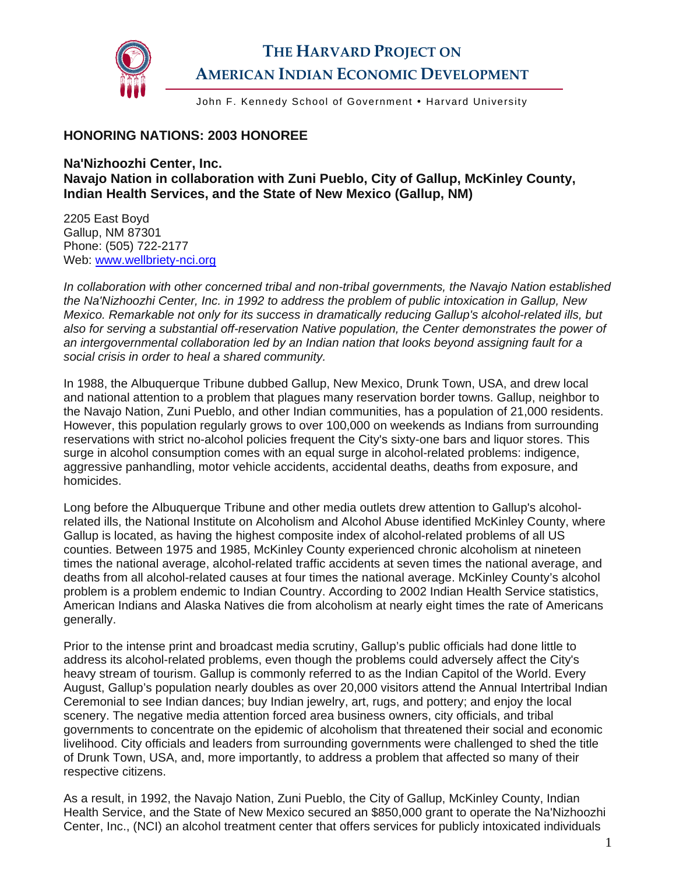

## **THE HARVARD PROJECT ON AMERICAN INDIAN ECONOMIC DEVELOPMENT**

John F. Kennedy School of Government • Harvard University

## **HONORING NATIONS: 2003 HONOREE**

**Na'Nizhoozhi Center, Inc. Navajo Nation in collaboration with Zuni Pueblo, City of Gallup, McKinley County, Indian Health Services, and the State of New Mexico (Gallup, NM)** 

2205 East Boyd Gallup, NM 87301 Phone: (505) 722-2177 Web: [www.wellbriety-nci.org](http://www.wellbriety-nci.org/) 

*In collaboration with other concerned tribal and non-tribal governments, the Navajo Nation established the Na'Nizhoozhi Center, Inc. in 1992 to address the problem of public intoxication in Gallup, New Mexico. Remarkable not only for its success in dramatically reducing Gallup's alcohol-related ills, but also for serving a substantial off-reservation Native population, the Center demonstrates the power of an intergovernmental collaboration led by an Indian nation that looks beyond assigning fault for a social crisis in order to heal a shared community.* 

In 1988, the Albuquerque Tribune dubbed Gallup, New Mexico, Drunk Town, USA, and drew local and national attention to a problem that plagues many reservation border towns. Gallup, neighbor to the Navajo Nation, Zuni Pueblo, and other Indian communities, has a population of 21,000 residents. However, this population regularly grows to over 100,000 on weekends as Indians from surrounding reservations with strict no-alcohol policies frequent the City's sixty-one bars and liquor stores. This surge in alcohol consumption comes with an equal surge in alcohol-related problems: indigence, aggressive panhandling, motor vehicle accidents, accidental deaths, deaths from exposure, and homicides.

Long before the Albuquerque Tribune and other media outlets drew attention to Gallup's alcoholrelated ills, the National Institute on Alcoholism and Alcohol Abuse identified McKinley County, where Gallup is located, as having the highest composite index of alcohol-related problems of all US counties. Between 1975 and 1985, McKinley County experienced chronic alcoholism at nineteen times the national average, alcohol-related traffic accidents at seven times the national average, and deaths from all alcohol-related causes at four times the national average. McKinley County's alcohol problem is a problem endemic to Indian Country. According to 2002 Indian Health Service statistics, American Indians and Alaska Natives die from alcoholism at nearly eight times the rate of Americans generally.

Prior to the intense print and broadcast media scrutiny, Gallup's public officials had done little to address its alcohol-related problems, even though the problems could adversely affect the City's heavy stream of tourism. Gallup is commonly referred to as the Indian Capitol of the World. Every August, Gallup's population nearly doubles as over 20,000 visitors attend the Annual Intertribal Indian Ceremonial to see Indian dances; buy Indian jewelry, art, rugs, and pottery; and enjoy the local scenery. The negative media attention forced area business owners, city officials, and tribal governments to concentrate on the epidemic of alcoholism that threatened their social and economic livelihood. City officials and leaders from surrounding governments were challenged to shed the title of Drunk Town, USA, and, more importantly, to address a problem that affected so many of their respective citizens.

As a result, in 1992, the Navajo Nation, Zuni Pueblo, the City of Gallup, McKinley County, Indian Health Service, and the State of New Mexico secured an \$850,000 grant to operate the Na'Nizhoozhi Center, Inc., (NCI) an alcohol treatment center that offers services for publicly intoxicated individuals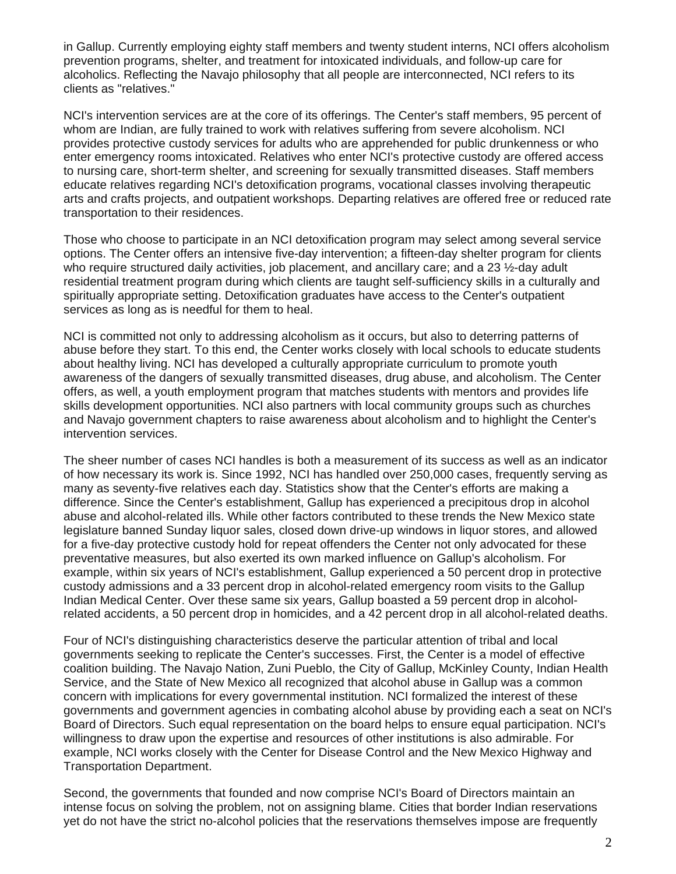in Gallup. Currently employing eighty staff members and twenty student interns, NCI offers alcoholism prevention programs, shelter, and treatment for intoxicated individuals, and follow-up care for alcoholics. Reflecting the Navajo philosophy that all people are interconnected, NCI refers to its clients as "relatives."

NCI's intervention services are at the core of its offerings. The Center's staff members, 95 percent of whom are Indian, are fully trained to work with relatives suffering from severe alcoholism. NCI provides protective custody services for adults who are apprehended for public drunkenness or who enter emergency rooms intoxicated. Relatives who enter NCI's protective custody are offered access to nursing care, short-term shelter, and screening for sexually transmitted diseases. Staff members educate relatives regarding NCI's detoxification programs, vocational classes involving therapeutic arts and crafts projects, and outpatient workshops. Departing relatives are offered free or reduced rate transportation to their residences.

Those who choose to participate in an NCI detoxification program may select among several service options. The Center offers an intensive five-day intervention; a fifteen-day shelter program for clients who require structured daily activities, job placement, and ancillary care; and a 23 ½-day adult residential treatment program during which clients are taught self-sufficiency skills in a culturally and spiritually appropriate setting. Detoxification graduates have access to the Center's outpatient services as long as is needful for them to heal.

NCI is committed not only to addressing alcoholism as it occurs, but also to deterring patterns of abuse before they start. To this end, the Center works closely with local schools to educate students about healthy living. NCI has developed a culturally appropriate curriculum to promote youth awareness of the dangers of sexually transmitted diseases, drug abuse, and alcoholism. The Center offers, as well, a youth employment program that matches students with mentors and provides life skills development opportunities. NCI also partners with local community groups such as churches and Navajo government chapters to raise awareness about alcoholism and to highlight the Center's intervention services.

The sheer number of cases NCI handles is both a measurement of its success as well as an indicator of how necessary its work is. Since 1992, NCI has handled over 250,000 cases, frequently serving as many as seventy-five relatives each day. Statistics show that the Center's efforts are making a difference. Since the Center's establishment, Gallup has experienced a precipitous drop in alcohol abuse and alcohol-related ills. While other factors contributed to these trends the New Mexico state legislature banned Sunday liquor sales, closed down drive-up windows in liquor stores, and allowed for a five-day protective custody hold for repeat offenders the Center not only advocated for these preventative measures, but also exerted its own marked influence on Gallup's alcoholism. For example, within six years of NCI's establishment, Gallup experienced a 50 percent drop in protective custody admissions and a 33 percent drop in alcohol-related emergency room visits to the Gallup Indian Medical Center. Over these same six years, Gallup boasted a 59 percent drop in alcoholrelated accidents, a 50 percent drop in homicides, and a 42 percent drop in all alcohol-related deaths.

Four of NCI's distinguishing characteristics deserve the particular attention of tribal and local governments seeking to replicate the Center's successes. First, the Center is a model of effective coalition building. The Navajo Nation, Zuni Pueblo, the City of Gallup, McKinley County, Indian Health Service, and the State of New Mexico all recognized that alcohol abuse in Gallup was a common concern with implications for every governmental institution. NCI formalized the interest of these governments and government agencies in combating alcohol abuse by providing each a seat on NCI's Board of Directors. Such equal representation on the board helps to ensure equal participation. NCI's willingness to draw upon the expertise and resources of other institutions is also admirable. For example, NCI works closely with the Center for Disease Control and the New Mexico Highway and Transportation Department.

Second, the governments that founded and now comprise NCI's Board of Directors maintain an intense focus on solving the problem, not on assigning blame. Cities that border Indian reservations yet do not have the strict no-alcohol policies that the reservations themselves impose are frequently